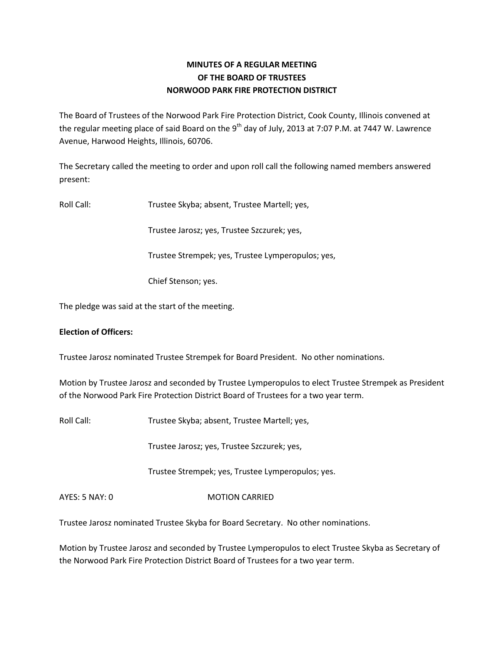# **MINUTES OF A REGULAR MEETING OF THE BOARD OF TRUSTEES NORWOOD PARK FIRE PROTECTION DISTRICT**

The Board of Trustees of the Norwood Park Fire Protection District, Cook County, Illinois convened at the regular meeting place of said Board on the 9<sup>th</sup> day of July, 2013 at 7:07 P.M. at 7447 W. Lawrence Avenue, Harwood Heights, Illinois, 60706.

The Secretary called the meeting to order and upon roll call the following named members answered present:

Roll Call: Trustee Skyba; absent, Trustee Martell; yes,

Trustee Jarosz; yes, Trustee Szczurek; yes,

Trustee Strempek; yes, Trustee Lymperopulos; yes,

Chief Stenson; yes.

The pledge was said at the start of the meeting.

# **Election of Officers:**

Trustee Jarosz nominated Trustee Strempek for Board President. No other nominations.

Motion by Trustee Jarosz and seconded by Trustee Lymperopulos to elect Trustee Strempek as President of the Norwood Park Fire Protection District Board of Trustees for a two year term.

Roll Call: Trustee Skyba; absent, Trustee Martell; yes,

Trustee Jarosz; yes, Trustee Szczurek; yes,

Trustee Strempek; yes, Trustee Lymperopulos; yes.

AYES: 5 NAY: 0 MOTION CARRIED

Trustee Jarosz nominated Trustee Skyba for Board Secretary. No other nominations.

Motion by Trustee Jarosz and seconded by Trustee Lymperopulos to elect Trustee Skyba as Secretary of the Norwood Park Fire Protection District Board of Trustees for a two year term.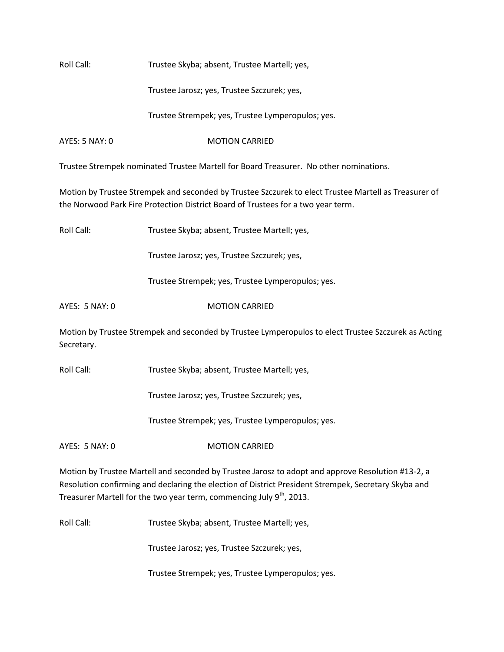| Roll Call: | Trustee Skyba; absent, Trustee Martell; yes, |
|------------|----------------------------------------------|
|            |                                              |

Trustee Jarosz; yes, Trustee Szczurek; yes,

Trustee Strempek; yes, Trustee Lymperopulos; yes.

AYES: 5 NAY: 0 MOTION CARRIED

Trustee Strempek nominated Trustee Martell for Board Treasurer. No other nominations.

Motion by Trustee Strempek and seconded by Trustee Szczurek to elect Trustee Martell as Treasurer of the Norwood Park Fire Protection District Board of Trustees for a two year term.

Roll Call: Trustee Skyba; absent, Trustee Martell; yes,

Trustee Jarosz; yes, Trustee Szczurek; yes,

Trustee Strempek; yes, Trustee Lymperopulos; yes.

AYES: 5 NAY: 0 MOTION CARRIED

Motion by Trustee Strempek and seconded by Trustee Lymperopulos to elect Trustee Szczurek as Acting Secretary.

Roll Call: Trustee Skyba; absent, Trustee Martell; yes,

Trustee Jarosz; yes, Trustee Szczurek; yes,

Trustee Strempek; yes, Trustee Lymperopulos; yes.

AYES: 5 NAY: 0 MOTION CARRIED

Motion by Trustee Martell and seconded by Trustee Jarosz to adopt and approve Resolution #13-2, a Resolution confirming and declaring the election of District President Strempek, Secretary Skyba and Treasurer Martell for the two year term, commencing July  $9<sup>th</sup>$ , 2013.

Roll Call: Trustee Skyba; absent, Trustee Martell; yes,

Trustee Jarosz; yes, Trustee Szczurek; yes,

Trustee Strempek; yes, Trustee Lymperopulos; yes.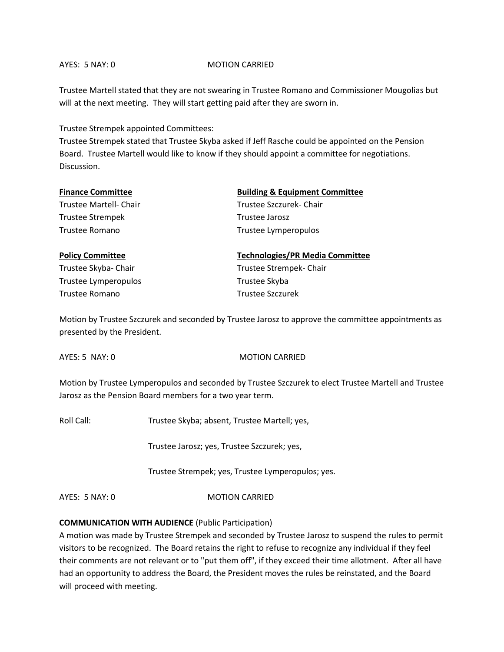#### AYES: 5 NAY: 0 MOTION CARRIED

Trustee Martell stated that they are not swearing in Trustee Romano and Commissioner Mougolias but will at the next meeting. They will start getting paid after they are sworn in.

Trustee Strempek appointed Committees:

Trustee Strempek stated that Trustee Skyba asked if Jeff Rasche could be appointed on the Pension Board. Trustee Martell would like to know if they should appoint a committee for negotiations. Discussion.

| <b>Finance Committee</b> | <b>Building &amp; Equipment Committee</b> |
|--------------------------|-------------------------------------------|
| Trustee Martell- Chair   | Trustee Szczurek- Chair                   |
| <b>Trustee Strempek</b>  | Trustee Jarosz                            |
| Trustee Romano           | Trustee Lymperopulos                      |
| <b>Policy Committee</b>  | <b>Technologies/PR Media Committee</b>    |
| Trustee Skyba- Chair     | Trustee Strempek- Chair                   |

Trustee Lymperopulos **Trustee Skyba** Trustee Romano Trustee Szczurek

Motion by Trustee Szczurek and seconded by Trustee Jarosz to approve the committee appointments as presented by the President.

AYES: 5 NAY: 0 MOTION CARRIED

Motion by Trustee Lymperopulos and seconded by Trustee Szczurek to elect Trustee Martell and Trustee Jarosz as the Pension Board members for a two year term.

Roll Call: Trustee Skyba; absent, Trustee Martell; yes,

Trustee Jarosz; yes, Trustee Szczurek; yes,

Trustee Strempek; yes, Trustee Lymperopulos; yes.

AYES: 5 NAY: 0 MOTION CARRIED

# **COMMUNICATION WITH AUDIENCE** (Public Participation)

A motion was made by Trustee Strempek and seconded by Trustee Jarosz to suspend the rules to permit visitors to be recognized. The Board retains the right to refuse to recognize any individual if they feel their comments are not relevant or to "put them off", if they exceed their time allotment. After all have had an opportunity to address the Board, the President moves the rules be reinstated, and the Board will proceed with meeting.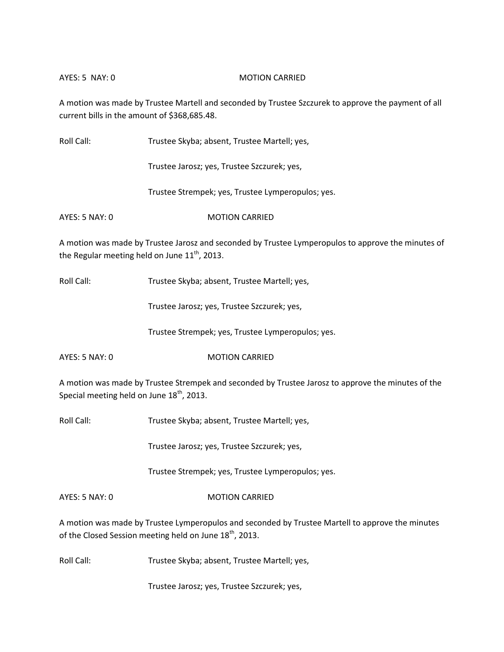### AYES: 5 NAY: 0 MOTION CARRIED

A motion was made by Trustee Martell and seconded by Trustee Szczurek to approve the payment of all current bills in the amount of \$368,685.48.

Roll Call: Trustee Skyba; absent, Trustee Martell; yes,

Trustee Jarosz; yes, Trustee Szczurek; yes,

Trustee Strempek; yes, Trustee Lymperopulos; yes.

AYES: 5 NAY: 0 MOTION CARRIED

A motion was made by Trustee Jarosz and seconded by Trustee Lymperopulos to approve the minutes of the Regular meeting held on June  $11<sup>th</sup>$ , 2013.

Roll Call: Trustee Skyba; absent, Trustee Martell; yes,

Trustee Jarosz; yes, Trustee Szczurek; yes,

Trustee Strempek; yes, Trustee Lymperopulos; yes.

AYES: 5 NAY: 0 MOTION CARRIED

A motion was made by Trustee Strempek and seconded by Trustee Jarosz to approve the minutes of the Special meeting held on June  $18<sup>th</sup>$ , 2013.

Roll Call: Trustee Skyba; absent, Trustee Martell; yes,

Trustee Jarosz; yes, Trustee Szczurek; yes,

Trustee Strempek; yes, Trustee Lymperopulos; yes.

AYES: 5 NAY: 0 MOTION CARRIED

A motion was made by Trustee Lymperopulos and seconded by Trustee Martell to approve the minutes of the Closed Session meeting held on June 18<sup>th</sup>, 2013.

Roll Call: Trustee Skyba; absent, Trustee Martell; yes,

Trustee Jarosz; yes, Trustee Szczurek; yes,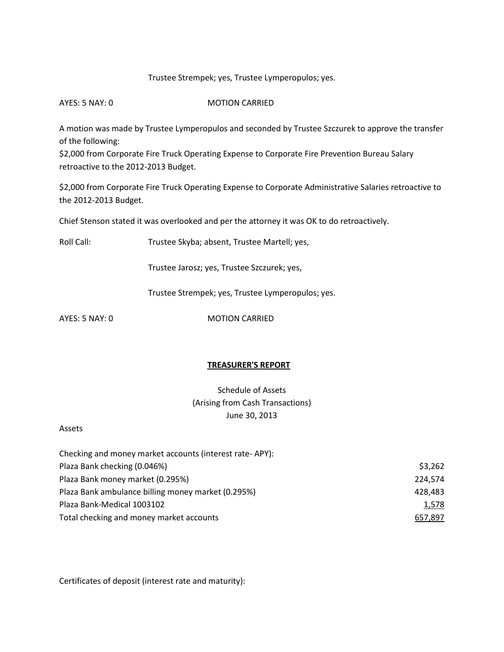# Trustee Strempek; yes, Trustee Lymperopulos; yes.

AYES: 5 NAY: 0 MOTION CARRIED

A motion was made by Trustee Lymperopulos and seconded by Trustee Szczurek to approve the transfer of the following:

\$2,000 from Corporate Fire Truck Operating Expense to Corporate Fire Prevention Bureau Salary retroactive to the 2012-2013 Budget.

\$2,000 from Corporate Fire Truck Operating Expense to Corporate Administrative Salaries retroactive to the 2012-2013 Budget.

Chief Stenson stated it was overlooked and per the attorney it was OK to do retroactively.

Roll Call: Trustee Skyba; absent, Trustee Martell; yes,

Trustee Jarosz; yes, Trustee Szczurek; yes,

Trustee Strempek; yes, Trustee Lymperopulos; yes.

AYES: 5 NAY: 0 MOTION CARRIED

#### **TREASURER'S REPORT**

Schedule of Assets (Arising from Cash Transactions) June 30, 2013

Assets

| Checking and money market accounts (interest rate-APY): |         |
|---------------------------------------------------------|---------|
| Plaza Bank checking (0.046%)                            | \$3,262 |
| Plaza Bank money market (0.295%)                        | 224,574 |
| Plaza Bank ambulance billing money market (0.295%)      | 428,483 |
| Plaza Bank-Medical 1003102                              | 1,578   |
| Total checking and money market accounts                | 657,897 |

Certificates of deposit (interest rate and maturity):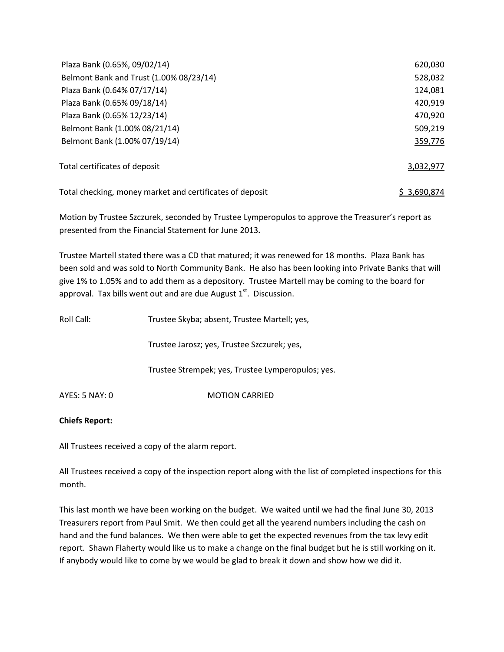| Plaza Bank (0.65%, 09/02/14)                             | 620,030     |
|----------------------------------------------------------|-------------|
| Belmont Bank and Trust (1.00% 08/23/14)                  | 528,032     |
| Plaza Bank (0.64% 07/17/14)                              | 124,081     |
| Plaza Bank (0.65% 09/18/14)                              | 420,919     |
| Plaza Bank (0.65% 12/23/14)                              | 470,920     |
| Belmont Bank (1.00% 08/21/14)                            | 509,219     |
| Belmont Bank (1.00% 07/19/14)                            | 359,776     |
| Total certificates of deposit                            | 3,032,977   |
| Total checking, money market and certificates of deposit | S 3.690.874 |

Motion by Trustee Szczurek, seconded by Trustee Lymperopulos to approve the Treasurer's report as presented from the Financial Statement for June 2013**.** 

Trustee Martell stated there was a CD that matured; it was renewed for 18 months. Plaza Bank has been sold and was sold to North Community Bank. He also has been looking into Private Banks that will give 1% to 1.05% and to add them as a depository. Trustee Martell may be coming to the board for approval. Tax bills went out and are due August  $1<sup>st</sup>$ . Discussion.

| Roll Call:     | Trustee Skyba; absent, Trustee Martell; yes,      |
|----------------|---------------------------------------------------|
|                | Trustee Jarosz; yes, Trustee Szczurek; yes,       |
|                | Trustee Strempek; yes, Trustee Lymperopulos; yes. |
| AYES: 5 NAY: 0 | <b>MOTION CARRIED</b>                             |

# **Chiefs Report:**

All Trustees received a copy of the alarm report.

All Trustees received a copy of the inspection report along with the list of completed inspections for this month.

This last month we have been working on the budget. We waited until we had the final June 30, 2013 Treasurers report from Paul Smit. We then could get all the yearend numbers including the cash on hand and the fund balances. We then were able to get the expected revenues from the tax levy edit report. Shawn Flaherty would like us to make a change on the final budget but he is still working on it. If anybody would like to come by we would be glad to break it down and show how we did it.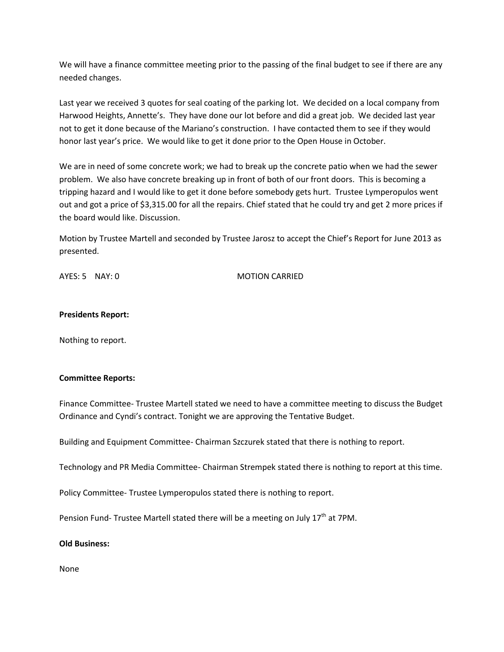We will have a finance committee meeting prior to the passing of the final budget to see if there are any needed changes.

Last year we received 3 quotes for seal coating of the parking lot. We decided on a local company from Harwood Heights, Annette's. They have done our lot before and did a great job. We decided last year not to get it done because of the Mariano's construction. I have contacted them to see if they would honor last year's price. We would like to get it done prior to the Open House in October.

We are in need of some concrete work; we had to break up the concrete patio when we had the sewer problem. We also have concrete breaking up in front of both of our front doors. This is becoming a tripping hazard and I would like to get it done before somebody gets hurt. Trustee Lymperopulos went out and got a price of \$3,315.00 for all the repairs. Chief stated that he could try and get 2 more prices if the board would like. Discussion.

Motion by Trustee Martell and seconded by Trustee Jarosz to accept the Chief's Report for June 2013 as presented.

AYES: 5 NAY: 0 MOTION CARRIED

# **Presidents Report:**

Nothing to report.

#### **Committee Reports:**

Finance Committee- Trustee Martell stated we need to have a committee meeting to discuss the Budget Ordinance and Cyndi's contract. Tonight we are approving the Tentative Budget.

Building and Equipment Committee- Chairman Szczurek stated that there is nothing to report.

Technology and PR Media Committee- Chairman Strempek stated there is nothing to report at this time.

Policy Committee- Trustee Lymperopulos stated there is nothing to report.

Pension Fund- Trustee Martell stated there will be a meeting on July  $17<sup>th</sup>$  at 7PM.

#### **Old Business:**

None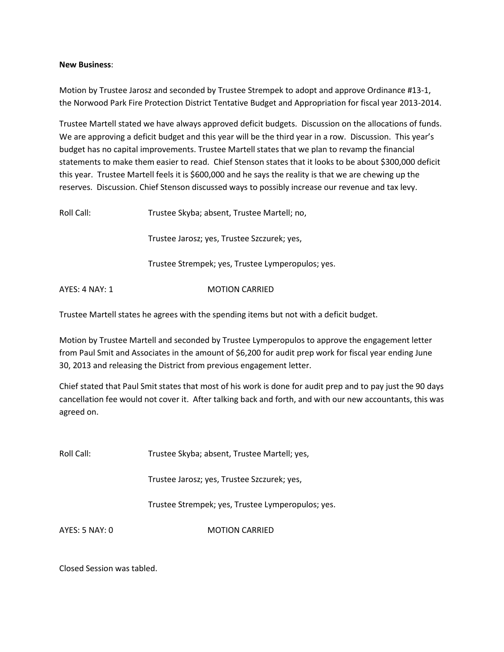### **New Business**:

Motion by Trustee Jarosz and seconded by Trustee Strempek to adopt and approve Ordinance #13-1, the Norwood Park Fire Protection District Tentative Budget and Appropriation for fiscal year 2013-2014.

Trustee Martell stated we have always approved deficit budgets. Discussion on the allocations of funds. We are approving a deficit budget and this year will be the third year in a row. Discussion. This year's budget has no capital improvements. Trustee Martell states that we plan to revamp the financial statements to make them easier to read. Chief Stenson states that it looks to be about \$300,000 deficit this year. Trustee Martell feels it is \$600,000 and he says the reality is that we are chewing up the reserves. Discussion. Chief Stenson discussed ways to possibly increase our revenue and tax levy.

| Roll Call:     | Trustee Skyba; absent, Trustee Martell; no,       |
|----------------|---------------------------------------------------|
|                | Trustee Jarosz; yes, Trustee Szczurek; yes,       |
|                | Trustee Strempek; yes, Trustee Lymperopulos; yes. |
| AYES: 4 NAY: 1 | <b>MOTION CARRIED</b>                             |

Trustee Martell states he agrees with the spending items but not with a deficit budget.

Motion by Trustee Martell and seconded by Trustee Lymperopulos to approve the engagement letter from Paul Smit and Associates in the amount of \$6,200 for audit prep work for fiscal year ending June 30, 2013 and releasing the District from previous engagement letter.

Chief stated that Paul Smit states that most of his work is done for audit prep and to pay just the 90 days cancellation fee would not cover it. After talking back and forth, and with our new accountants, this was agreed on.

Roll Call: Trustee Skyba; absent, Trustee Martell; yes,

Trustee Jarosz; yes, Trustee Szczurek; yes,

Trustee Strempek; yes, Trustee Lymperopulos; yes.

AYES: 5 NAY: 0 MOTION CARRIED

Closed Session was tabled.